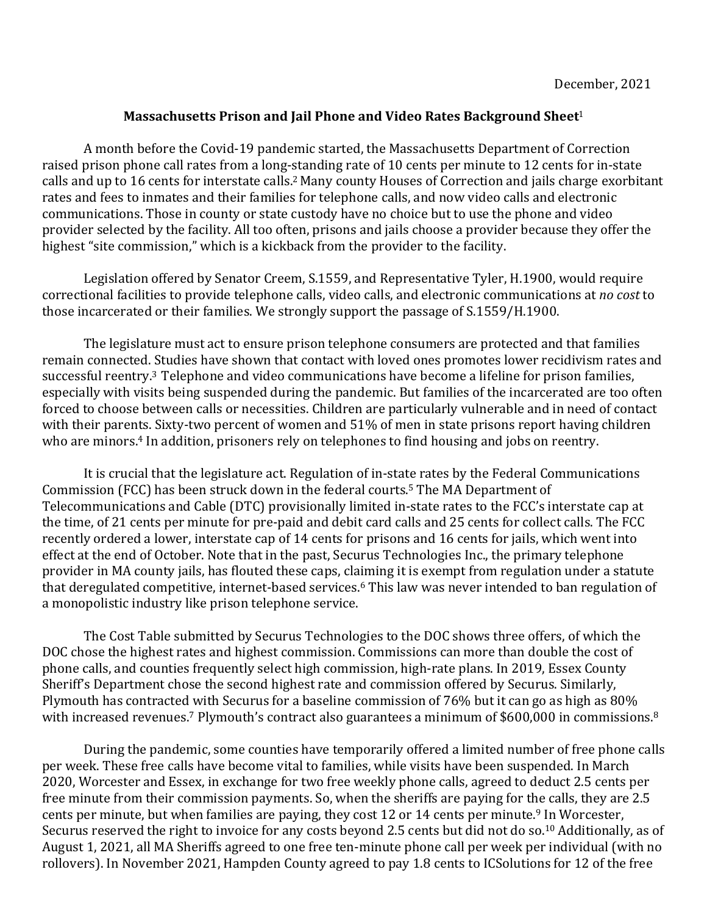## **Massachusetts Prison and Jail Phone and Video Rates Background Sheet<sup>1</sup>**

A month before the Covid-19 pandemic started, the Massachusetts Department of Correction raised prison phone call rates from a long-standing rate of 10 cents per minute to 12 cents for in-state calls and up to 16 cents for interstate calls.<sup>2</sup> Many county Houses of Correction and jails charge exorbitant rates and fees to inmates and their families for telephone calls, and now video calls and electronic communications. Those in county or state custody have no choice but to use the phone and video provider selected by the facility. All too often, prisons and jails choose a provider because they offer the highest "site commission," which is a kickback from the provider to the facility.

Legislation offered by Senator Creem, S.1559, and Representative Tyler, H.1900, would require correctional facilities to provide telephone calls, video calls, and electronic communications at *no cost* to those incarcerated or their families. We strongly support the passage of S.1559/H.1900.

The legislature must act to ensure prison telephone consumers are protected and that families remain connected. Studies have shown that contact with loved ones promotes lower recidivism rates and successful reentry.<sup>3</sup> Telephone and video communications have become a lifeline for prison families, especially with visits being suspended during the pandemic. But families of the incarcerated are too often forced to choose between calls or necessities. Children are particularly vulnerable and in need of contact with their parents. Sixty-two percent of women and 51% of men in state prisons report having children who are minors.<sup>4</sup> In addition, prisoners rely on telephones to find housing and jobs on reentry.

It is crucial that the legislature act. Regulation of in-state rates by the Federal Communications Commission (FCC) has been struck down in the federal courts.<sup>5</sup> The MA Department of Telecommunications and Cable (DTC) provisionally limited in-state rates to the FCC's interstate cap at the time, of 21 cents per minute for pre-paid and debit card calls and 25 cents for collect calls. The FCC recently ordered a lower, interstate cap of 14 cents for prisons and 16 cents for jails, which went into effect at the end of October. Note that in the past, Securus Technologies Inc., the primary telephone provider in MA county jails, has flouted these caps, claiming it is exempt from regulation under a statute that deregulated competitive, internet-based services.<sup>6</sup> This law was never intended to ban regulation of a monopolistic industry like prison telephone service.

The Cost Table submitted by Securus Technologies to the DOC shows three offers, of which the DOC chose the highest rates and highest commission. Commissions can more than double the cost of phone calls, and counties frequently select high commission, high-rate plans. In 2019, Essex County Sheriff's Department chose the second highest rate and commission offered by Securus. Similarly, Plymouth has contracted with Securus for a baseline commission of 76% but it can go as high as 80% with increased revenues.<sup>7</sup> Plymouth's contract also guarantees a minimum of \$600,000 in commissions.<sup>8</sup>

During the pandemic, some counties have temporarily offered a limited number of free phone calls per week. These free calls have become vital to families, while visits have been suspended. In March 2020, Worcester and Essex, in exchange for two free weekly phone calls, agreed to deduct 2.5 cents per free minute from their commission payments. So, when the sheriffs are paying for the calls, they are 2.5 cents per minute, but when families are paying, they cost 12 or 14 cents per minute.<sup>9</sup> In Worcester, Securus reserved the right to invoice for any costs beyond 2.5 cents but did not do so.<sup>10</sup> Additionally, as of August 1, 2021, all MA Sheriffs agreed to one free ten-minute phone call per week per individual (with no rollovers). In November 2021, Hampden County agreed to pay 1.8 cents to ICSolutions for 12 of the free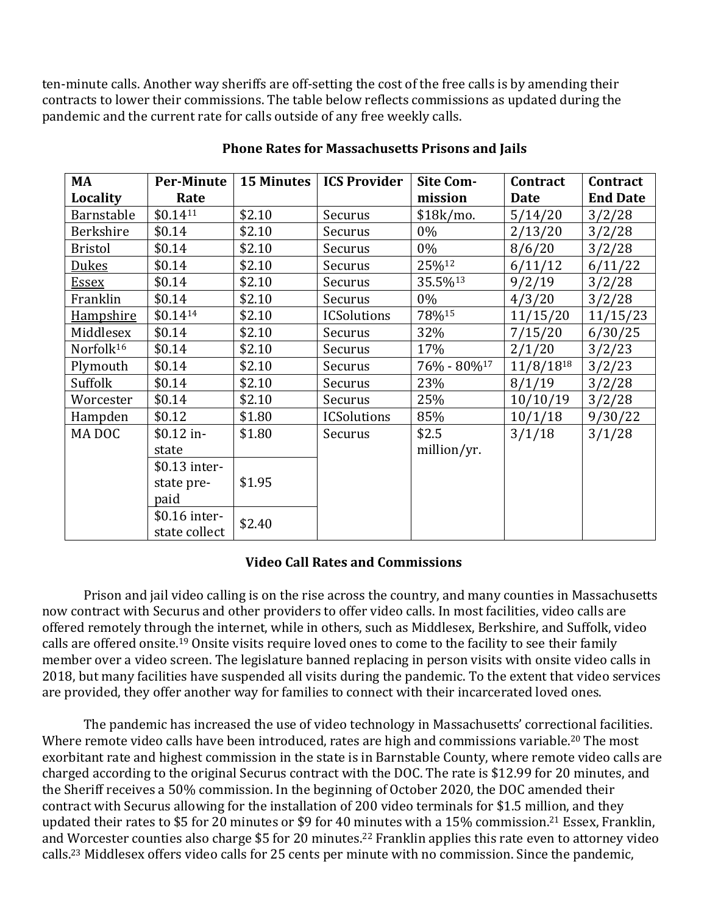ten-minute calls. Another way sheriffs are off-setting the cost of the free calls is by amending their contracts to lower their commissions. The table below reflects commissions as updated during the pandemic and the current rate for calls outside of any free weekly calls.

| MA                    | <b>Per-Minute</b> |        | 15 Minutes   ICS Provider | <b>Site Com-</b>        | Contract       | Contract        |
|-----------------------|-------------------|--------|---------------------------|-------------------------|----------------|-----------------|
| Locality              | Rate              |        |                           | mission                 | <b>Date</b>    | <b>End Date</b> |
| Barnstable            | \$0.1411          | \$2.10 | Securus                   | $$18k/mol$ .            | 5/14/20        | 3/2/28          |
| Berkshire             | \$0.14            | \$2.10 | Securus                   | 0%                      | 2/13/20        | 3/2/28          |
| <b>Bristol</b>        | \$0.14            | \$2.10 | Securus                   | 0%                      | 8/6/20         | 3/2/28          |
| <u>Dukes</u>          | \$0.14            | \$2.10 | Securus                   | 25%12                   | 6/11/12        | 6/11/22         |
| <u>Essex</u>          | \$0.14            | \$2.10 | Securus                   | 35.5%13                 | 9/2/19         | 3/2/28          |
| Franklin              | \$0.14            | \$2.10 | Securus                   | $0\%$                   | 4/3/20         | 3/2/28          |
| <u>Hampshire</u>      | $$0.14^{14}$      | \$2.10 | <b>ICSolutions</b>        | 78%15                   | 11/15/20       | 11/15/23        |
| Middlesex             | \$0.14            | \$2.10 | Securus                   | 32%                     | 7/15/20        | 6/30/25         |
| Norfolk <sup>16</sup> | \$0.14            | \$2.10 | Securus                   | 17%                     | 2/1/20         | 3/2/23          |
| Plymouth              | \$0.14            | \$2.10 | Securus                   | 76% - 80% <sup>17</sup> | $11/8/18^{18}$ | 3/2/23          |
| Suffolk               | \$0.14            | \$2.10 | Securus                   | 23%                     | 8/1/19         | 3/2/28          |
| Worcester             | \$0.14            | \$2.10 | Securus                   | 25%                     | 10/10/19       | 3/2/28          |
| Hampden               | \$0.12            | \$1.80 | <b>ICSolutions</b>        | 85%                     | 10/1/18        | 9/30/22         |
| MA DOC                | $$0.12$ in-       | \$1.80 | Securus                   | \$2.5                   | 3/1/18         | 3/1/28          |
|                       | state             |        |                           | million/yr.             |                |                 |
|                       | \$0.13 inter-     |        |                           |                         |                |                 |
|                       | state pre-        | \$1.95 |                           |                         |                |                 |
|                       | paid              |        |                           |                         |                |                 |
|                       | \$0.16 inter-     | \$2.40 |                           |                         |                |                 |
|                       | state collect     |        |                           |                         |                |                 |

## **Phone Rates for Massachusetts Prisons and Jails**

## **Video Call Rates and Commissions**

Prison and jail video calling is on the rise across the country, and many counties in Massachusetts now contract with Securus and other providers to offer video calls. In most facilities, video calls are offered remotely through the internet, while in others, such as Middlesex, Berkshire, and Suffolk, video calls are offered onsite.<sup>19</sup> Onsite visits require loved ones to come to the facility to see their family member over a video screen. The legislature banned replacing in person visits with onsite video calls in 2018, but many facilities have suspended all visits during the pandemic. To the extent that video services are provided, they offer another way for families to connect with their incarcerated loved ones.

The pandemic has increased the use of video technology in Massachusetts' correctional facilities. Where remote video calls have been introduced, rates are high and commissions variable.<sup>20</sup> The most exorbitant rate and highest commission in the state is in Barnstable County, where remote video calls are charged according to the original Securus contract with the DOC. The rate is \$12.99 for 20 minutes, and the Sheriff receives a 50% commission. In the beginning of October 2020, the DOC amended their contract with Securus allowing for the installation of 200 video terminals for \$1.5 million, and they updated their rates to \$5 for 20 minutes or \$9 for 40 minutes with a 15% commission.<sup>21</sup> Essex, Franklin, and Worcester counties also charge \$5 for 20 minutes.<sup>22</sup> Franklin applies this rate even to attorney video calls.<sup>23</sup> Middlesex offers video calls for 25 cents per minute with no commission. Since the pandemic,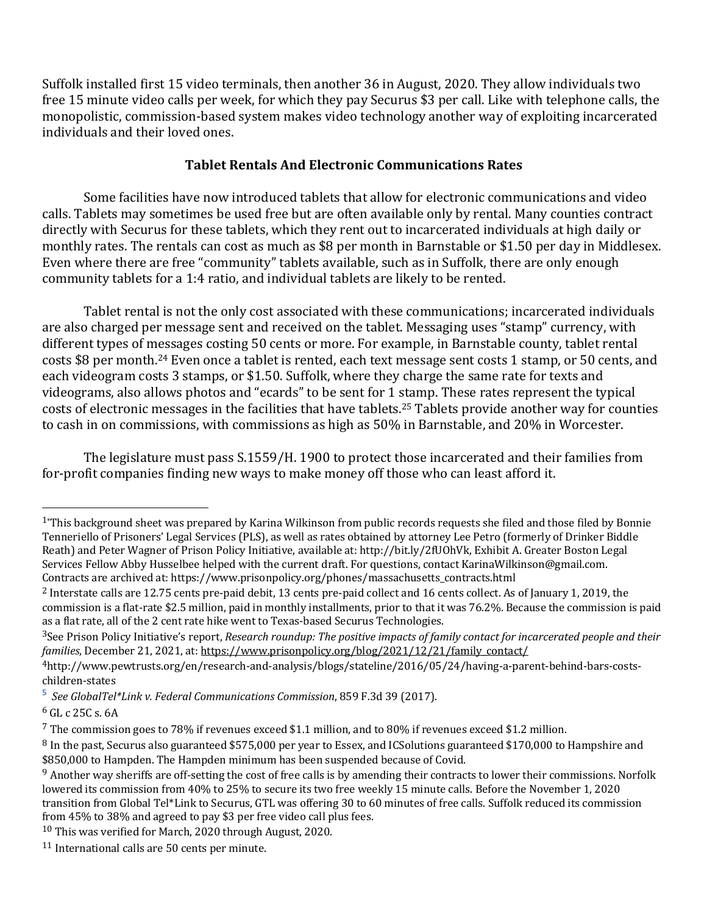Suffolk installed first 15 video terminals, then another 36 in August, 2020. They allow individuals two free 15 minute video calls per week, for which they pay Securus \$3 per call. Like with telephone calls, the monopolistic, commission-based system makes video technology another way of exploiting incarcerated individuals and their loved ones.

## **Tablet Rentals And Electronic Communications Rates**

Some facilities have now introduced tablets that allow for electronic communications and video calls. Tablets may sometimes be used free but are often available only by rental. Many counties contract directly with Securus for these tablets, which they rent out to incarcerated individuals at high daily or monthly rates. The rentals can cost as much as \$8 per month in Barnstable or \$1.50 per day in Middlesex. Even where there are free "community" tablets available, such as in Suffolk, there are only enough community tablets for a 1:4 ratio, and individual tablets are likely to be rented.

Tablet rental is not the only cost associated with these communications; incarcerated individuals are also charged per message sent and received on the tablet. Messaging uses "stamp" currency, with different types of messages costing 50 cents or more. For example, in Barnstable county, tablet rental costs \$8 per month.<sup>24</sup> Even once a tablet is rented, each text message sent costs 1 stamp, or 50 cents, and each videogram costs 3 stamps, or \$1.50. Suffolk, where they charge the same rate for texts and videograms, also allows photos and "ecards" to be sent for 1 stamp. These rates represent the typical costs of electronic messages in the facilities that have tablets.<sup>25</sup> Tablets provide another way for counties to cash in on commissions, with commissions as high as 50% in Barnstable, and 20% in Worcester.

The legislature must pass S.1559/H. 1900 to protect those incarcerated and their families from for-profit companies finding new ways to make money off those who can least afford it.

 $1*$ This background sheet was prepared by Karina Wilkinson from public records requests she filed and those filed by Bonnie Tenneriello of Prisoners' Legal Services (PLS), as well as rates obtained by attorney Lee Petro (formerly of Drinker Biddle Reath) and Peter Wagner of Prison Policy Initiative, available at: http://bit.ly/2fUOhVk, Exhibit A. Greater Boston Legal Services Fellow Abby Husselbee helped with the current draft. For questions, contact KarinaWilkinson@gmail.com. Contracts are archived at: https://www.prisonpolicy.org/phones/massachusetts\_contracts.html

<sup>&</sup>lt;sup>2</sup> Interstate calls are 12.75 cents pre-paid debit, 13 cents pre-paid collect and 16 cents collect. As of January 1, 2019, the commission is a flat-rate \$2.5 million, paid in monthly installments, prior to that it was 76.2%. Because the commission is paid as a flat rate, all of the 2 cent rate hike went to Texas-based Securus Technologies.

<sup>&</sup>lt;sup>3</sup>See Prison Policy Initiative's report, *Research roundup: The positive impacts of family contact for incarcerated people and their families*, December 21, 2021, at: https://www.prisonpolicy.org/blog/2021/12/21/family\_contact/

<sup>4</sup>http://www.pewtrusts.org/en/research-and-analysis/blogs/stateline/2016/05/24/having-a-parent-behind-bars-costschildren-states

**<sup>5</sup>** *See GlobalTel\*Link v. Federal Communications Commission*, 859 F.3d 39 (2017).

 $6$  GL c 25C s. 6A

 $7$  The commission goes to 78% if revenues exceed \$1.1 million, and to 80% if revenues exceed \$1.2 million.

 $8$  In the past, Securus also guaranteed \$575,000 per year to Essex, and ICSolutions guaranteed \$170,000 to Hampshire and \$850,000 to Hampden. The Hampden minimum has been suspended because of Covid.

 $9$  Another way sheriffs are off-setting the cost of free calls is by amending their contracts to lower their commissions. Norfolk lowered its commission from 40% to 25% to secure its two free weekly 15 minute calls. Before the November 1, 2020 transition from Global Tel\*Link to Securus, GTL was offering 30 to 60 minutes of free calls. Suffolk reduced its commission from 45% to 38% and agreed to pay \$3 per free video call plus fees.

 $10$  This was verified for March, 2020 through August, 2020.

 $11$  International calls are 50 cents per minute.